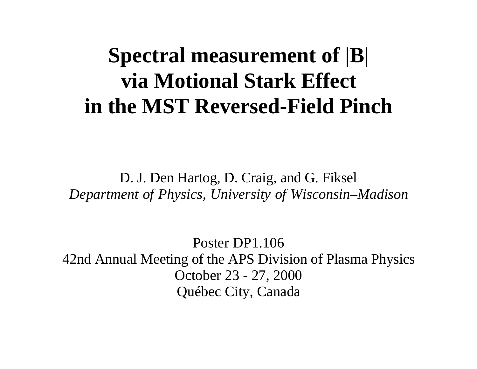# **Spectral measurement of |B| via Motional Stark Effect in the MST Reversed-Field Pinch**

D. J. Den Hartog, D. Craig, and G. Fiksel *Department of Physics, University of Wisconsin–Madison*

Poster DP1.106 42nd Annual Meeting of the APS Division of Plasma Physics October 23 - 27, 2000 Québec City, Canada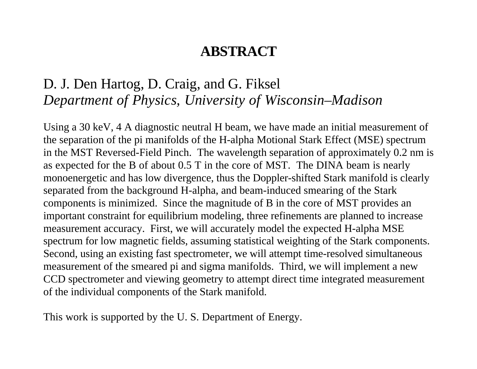### **ABSTRACT**

### D. J. Den Hartog, D. Craig, and G. Fiksel *Department of Physics, University of Wisconsin–Madison*

Using a 30 keV, 4 A diagnostic neutral H beam, we have made an initial measurement of the separation of the pi manifolds of the H-alpha Motional Stark Effect (MSE) spectrum in the MST Reversed-Field Pinch. The wavelength separation of approximately 0.2 nm is as expected for the B of about 0.5 T in the core of MST. The DINA beam is nearly monoenergetic and has low divergence, thus the Doppler-shifted Stark manifold is clearly separated from the background H-alpha, and beam-induced smearing of the Stark components is minimized. Since the magnitude of B in the core of MST provides an important constraint for equilibrium modeling, three refinements are planned to increase measurement accuracy. First, we will accurately model the expected H-alpha MSE spectrum for low magnetic fields, assuming statistical weighting of the Stark components. Second, using an existing fast spectrometer, we will attempt time-resolved simultaneous measurement of the smeared pi and sigma manifolds. Third, we will implement a new CCD spectrometer and viewing geometry to attempt direct time integrated measurement of the individual components of the Stark manifold.

This work is supported by the U. S. Department of Energy.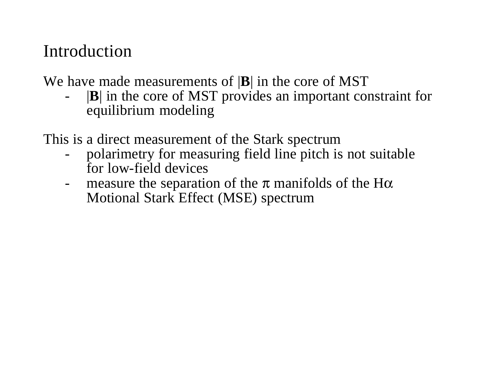### Introduction

We have made measurements of |**B**| in the core of MST

- |**B**| in the core of MST provides an important constraint for equilibrium modeling
- This is a direct measurement of the Stark spectrum
	- polarimetry for measuring field line pitch is not suitable for low-field devices
	- measure the separation of the  $\pi$  manifolds of the H $\alpha$ Motional Stark Effect (MSE) spectrum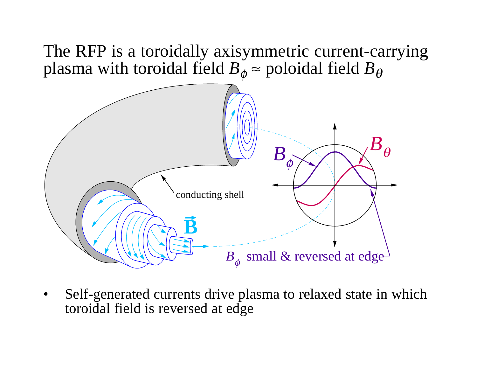The RFP is a toroidally axisymmetric current-carrying plasma with toroidal field *B*  $\phi \approx$  poloidal field  $B_{\theta}$ 



• Self-generated currents drive plasma to relaxed state in which toroidal field is reversed at edge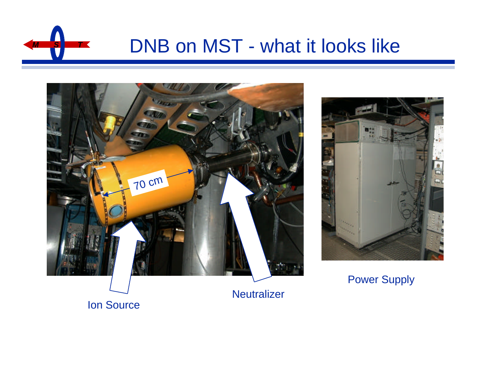

## **DNB on MST - what it looks like**





Power Supply

Ion Source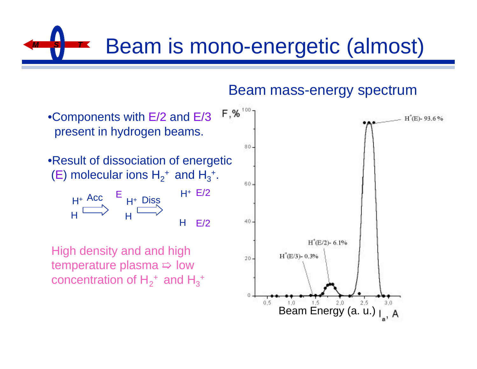# **Beam is mono-energetic (almost)**



#### Beam mass-energy spectrum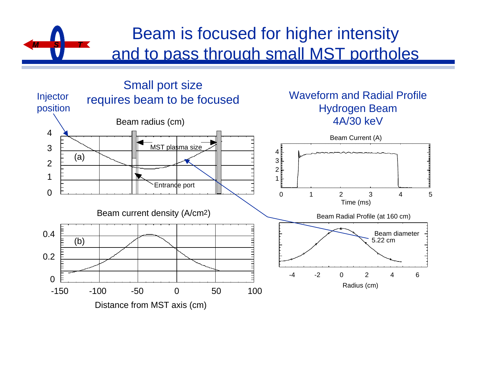### Beam is focused for higher intensity and to pass through small MST portholes

*M S T*

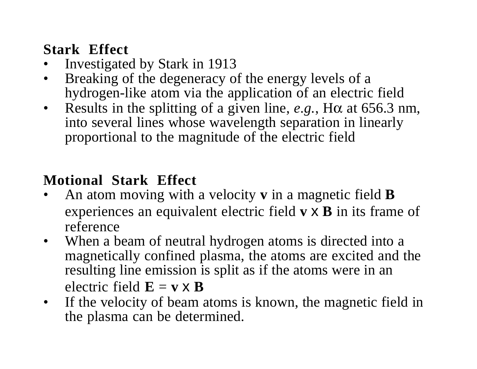### **Stark Effect**

- •Investigated by Stark in 1913
- • Breaking of the degeneracy of the energy levels of a hydrogen-like atom via the application of an electric field
- • Results in the splitting of a given line, *e.g.*, Hα at 656.3 nm, into several lines whose wavelength separation in linearly proportional to the magnitude of the electric field

### **Motional Stark Effect**

- • An atom moving with a velocity **v** in a magnetic field **B** experiences an equivalent electric field **<sup>v</sup>** <sup>x</sup> **B** in its frame of reference
- • When a beam of neutral hydrogen atoms is directed into a magnetically confined plasma, the atoms are excited and the resulting line emission is split as if the atoms were in an electric field  $\mathbf{E} = \mathbf{v} \times \mathbf{B}$
- • If the velocity of beam atoms is known, the magnetic field in the plasma can be determined.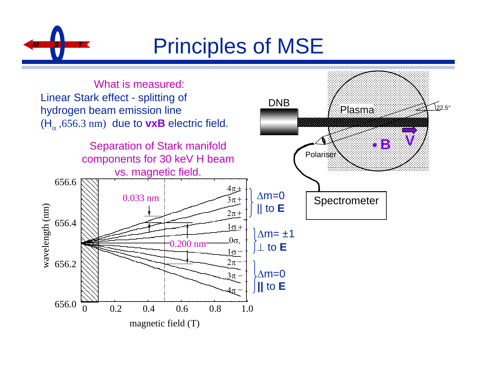

# **Principles of MSE**

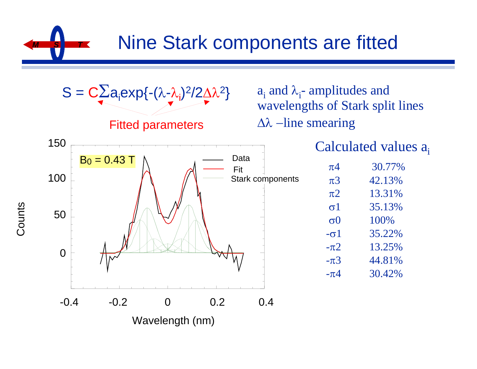**Nine Stark components are fitted** 



Counts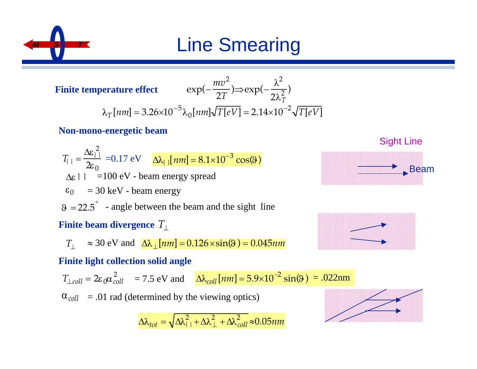

# **Line Smearing**

**Finite temperature effect** 

$$
\text{erature effect} \qquad \exp(-\frac{mv^2}{2T}) \Rightarrow \exp(-\frac{\lambda^2}{2\lambda_T^2})
$$
\n
$$
\lambda_T \text{[nm]} = 3.26 \times 10^{-5} \lambda_0 \text{[nm]} \sqrt{T[eV]} = 2.14 \times 10^{-2} \sqrt{T[eV]}
$$

#### **Non-mono-energetic beam**

 $T_{||} =$  $\Delta \varepsilon_{\square}^{\; 2}$  $\frac{\Delta E_{||}}{2 \epsilon_0}$  = 0.17 eV  $\Delta \lambda_{||}$  [*nm*] = 8.1×10<sup>-3</sup> cos(9)  $\Delta \varepsilon$  | | =100 eV - beam energy spread  $\varepsilon_0$  = 30 keV - beam energy  $\theta = 22.5^{\degree}$  - angle between the beam and the sight line **Finite beam divergence** *T*⊥

$$
T_{\perp} \approx 30 \text{ eV and } \Delta \lambda_{\perp} [nm] = 0.126 \times \sin(\theta) = 0.045 nm
$$

#### **Finite light collection solid angle**

$$
T_{\perp coll} = 2\varepsilon_0 \alpha_{coll}^2 = 7.5 \text{ eV and } \Delta \lambda_{coll} [nm] = 5.9 \times 10^{-2} \sin(9) = .022 \text{nm}
$$

 $\alpha_{coll}$  = .01 rad (determined by the viewing optics)

$$
\Delta\lambda_{tot} = \sqrt{\Delta\lambda_{11}^2 + \Delta\lambda_{\perp}^2 + \Delta\lambda_{coll}^2} \approx 0.05nm
$$





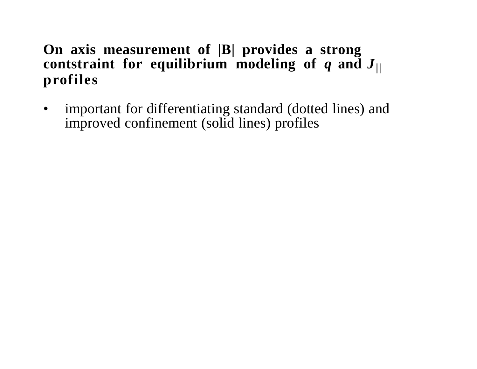### **On axis measurement of |B| provides a strong contstraint for equilibrium modeling of**  *q* **and**  *J***|| profiles**

• important for differentiating standard (dotted lines) and improved confinement (solid lines) profiles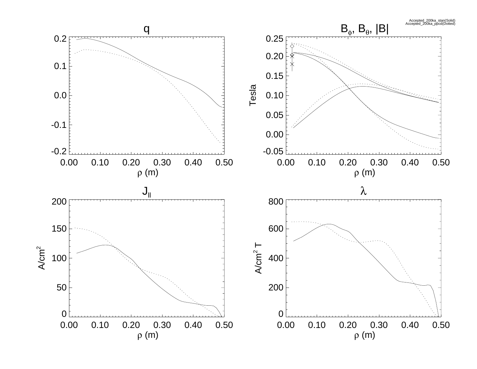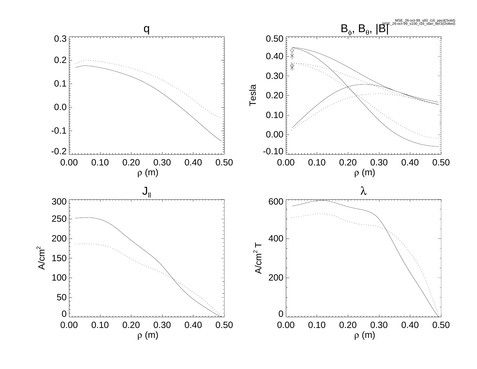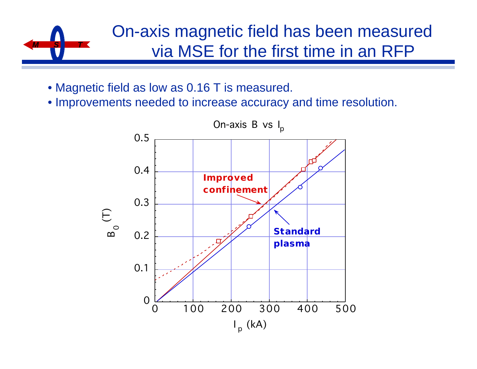# *M S T*

### On-axis magnetic field has been measured via MSE for the first time in an RFP

- Magnetic field as low as 0.16 T is measured.
- Improvements needed to increase accuracy and time resolution.

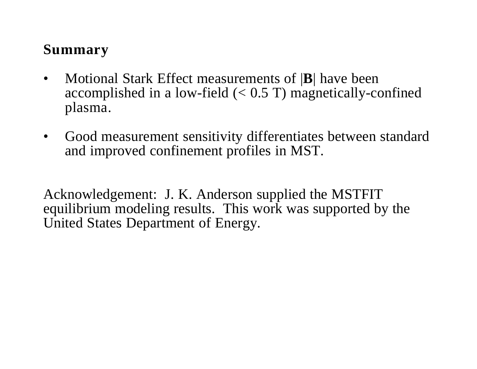### **Summary**

- • Motional Stark Effect measurements of | **B**| have been accomplished in a low-field  $(< 0.5$  T) magnetically-confined plasma.
- Good measurement sensitivity differentiates between standard and improved confinement profiles in MST.

Acknowledgement: J. K. Anderson supplied the MSTFIT equilibrium modeling results. This work was supported by the United States Department of Energy.